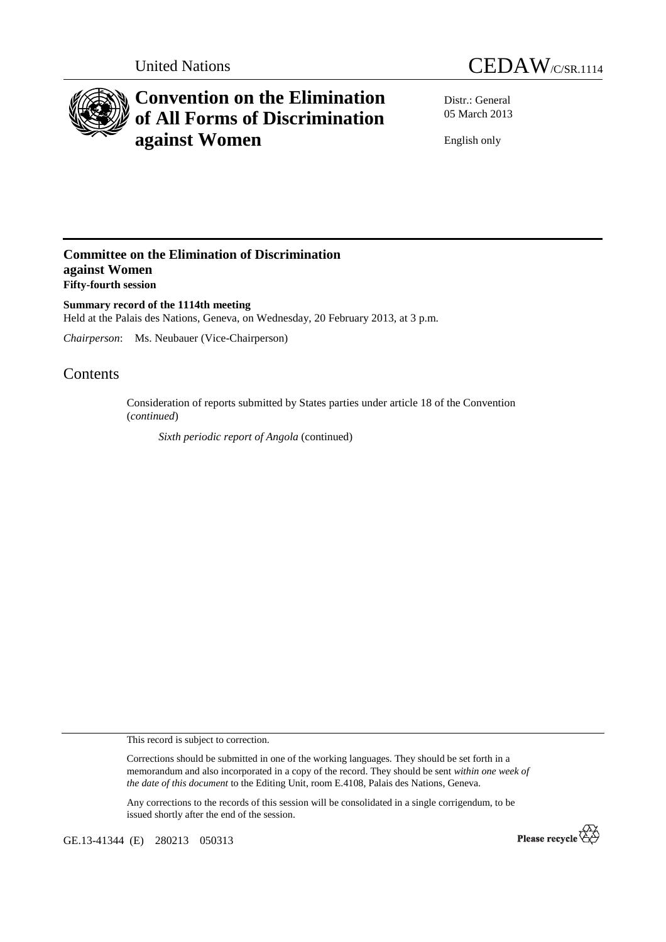



# **Convention on the Elimination of All Forms of Discrimination against Women**

Distr.: General 05 March 2013

English only

## **Committee on the Elimination of Discrimination against Women Fifty-fourth session**

**Summary record of the 1114th meeting**  Held at the Palais des Nations, Geneva, on Wednesday, 20 February 2013, at 3 p.m.

*Chairperson*: Ms. Neubauer (Vice-Chairperson)

# Contents

Consideration of reports submitted by States parties under article 18 of the Convention (*continued*)

*Sixth periodic report of Angola* (continued)

This record is subject to correction.

Corrections should be submitted in one of the working languages. They should be set forth in a memorandum and also incorporated in a copy of the record. They should be sent *within one week of the date of this document* to the Editing Unit, room E.4108, Palais des Nations, Geneva.

Any corrections to the records of this session will be consolidated in a single corrigendum, to be issued shortly after the end of the session.

GE.13-41344 (E) 280213 050313

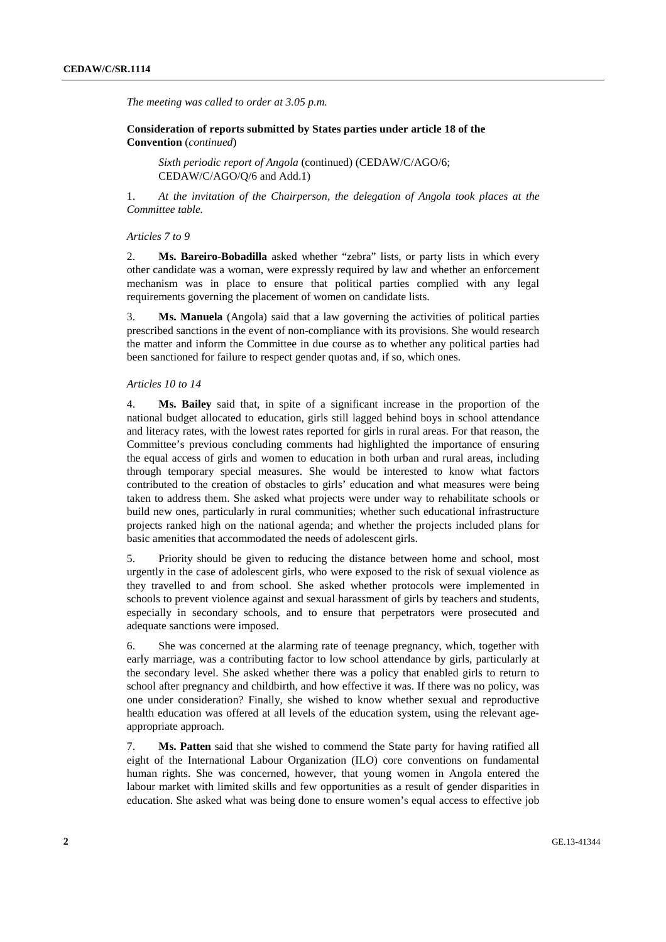*The meeting was called to order at 3.05 p.m.* 

## **Consideration of reports submitted by States parties under article 18 of the Convention** (*continued*)

*Sixth periodic report of Angola* (continued) (CEDAW/C/AGO/6; CEDAW/C/AGO/Q/6 and Add.1)

1. *At the invitation of the Chairperson, the delegation of Angola took places at the Committee table.* 

#### *Articles 7 to 9*

2. **Ms. Bareiro-Bobadilla** asked whether "zebra" lists, or party lists in which every other candidate was a woman, were expressly required by law and whether an enforcement mechanism was in place to ensure that political parties complied with any legal requirements governing the placement of women on candidate lists.

3. **Ms. Manuela** (Angola) said that a law governing the activities of political parties prescribed sanctions in the event of non-compliance with its provisions. She would research the matter and inform the Committee in due course as to whether any political parties had been sanctioned for failure to respect gender quotas and, if so, which ones.

#### *Articles 10 to 14*

4. **Ms. Bailey** said that, in spite of a significant increase in the proportion of the national budget allocated to education, girls still lagged behind boys in school attendance and literacy rates, with the lowest rates reported for girls in rural areas. For that reason, the Committee's previous concluding comments had highlighted the importance of ensuring the equal access of girls and women to education in both urban and rural areas, including through temporary special measures. She would be interested to know what factors contributed to the creation of obstacles to girls' education and what measures were being taken to address them. She asked what projects were under way to rehabilitate schools or build new ones, particularly in rural communities; whether such educational infrastructure projects ranked high on the national agenda; and whether the projects included plans for basic amenities that accommodated the needs of adolescent girls.

5. Priority should be given to reducing the distance between home and school, most urgently in the case of adolescent girls, who were exposed to the risk of sexual violence as they travelled to and from school. She asked whether protocols were implemented in schools to prevent violence against and sexual harassment of girls by teachers and students, especially in secondary schools, and to ensure that perpetrators were prosecuted and adequate sanctions were imposed.

6. She was concerned at the alarming rate of teenage pregnancy, which, together with early marriage, was a contributing factor to low school attendance by girls, particularly at the secondary level. She asked whether there was a policy that enabled girls to return to school after pregnancy and childbirth, and how effective it was. If there was no policy, was one under consideration? Finally, she wished to know whether sexual and reproductive health education was offered at all levels of the education system, using the relevant ageappropriate approach.

7. **Ms. Patten** said that she wished to commend the State party for having ratified all eight of the International Labour Organization (ILO) core conventions on fundamental human rights. She was concerned, however, that young women in Angola entered the labour market with limited skills and few opportunities as a result of gender disparities in education. She asked what was being done to ensure women's equal access to effective job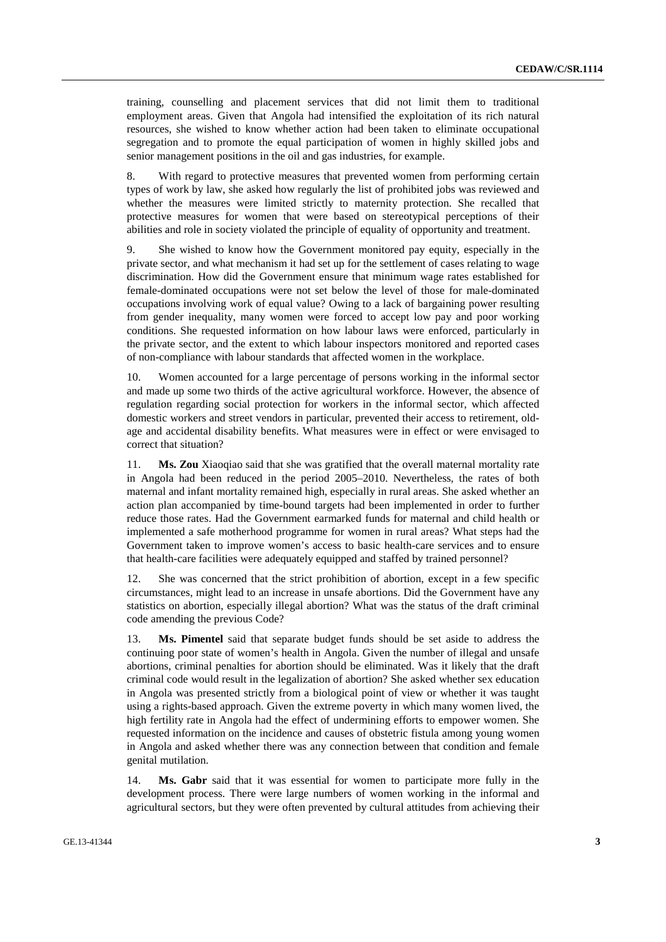training, counselling and placement services that did not limit them to traditional employment areas. Given that Angola had intensified the exploitation of its rich natural resources, she wished to know whether action had been taken to eliminate occupational segregation and to promote the equal participation of women in highly skilled jobs and senior management positions in the oil and gas industries, for example.

8. With regard to protective measures that prevented women from performing certain types of work by law, she asked how regularly the list of prohibited jobs was reviewed and whether the measures were limited strictly to maternity protection. She recalled that protective measures for women that were based on stereotypical perceptions of their abilities and role in society violated the principle of equality of opportunity and treatment.

9. She wished to know how the Government monitored pay equity, especially in the private sector, and what mechanism it had set up for the settlement of cases relating to wage discrimination. How did the Government ensure that minimum wage rates established for female-dominated occupations were not set below the level of those for male-dominated occupations involving work of equal value? Owing to a lack of bargaining power resulting from gender inequality, many women were forced to accept low pay and poor working conditions. She requested information on how labour laws were enforced, particularly in the private sector, and the extent to which labour inspectors monitored and reported cases of non-compliance with labour standards that affected women in the workplace.

10. Women accounted for a large percentage of persons working in the informal sector and made up some two thirds of the active agricultural workforce. However, the absence of regulation regarding social protection for workers in the informal sector, which affected domestic workers and street vendors in particular, prevented their access to retirement, oldage and accidental disability benefits. What measures were in effect or were envisaged to correct that situation?

11. **Ms. Zou** Xiaoqiao said that she was gratified that the overall maternal mortality rate in Angola had been reduced in the period 2005–2010. Nevertheless, the rates of both maternal and infant mortality remained high, especially in rural areas. She asked whether an action plan accompanied by time-bound targets had been implemented in order to further reduce those rates. Had the Government earmarked funds for maternal and child health or implemented a safe motherhood programme for women in rural areas? What steps had the Government taken to improve women's access to basic health-care services and to ensure that health-care facilities were adequately equipped and staffed by trained personnel?

12. She was concerned that the strict prohibition of abortion, except in a few specific circumstances, might lead to an increase in unsafe abortions. Did the Government have any statistics on abortion, especially illegal abortion? What was the status of the draft criminal code amending the previous Code?

13. **Ms. Pimentel** said that separate budget funds should be set aside to address the continuing poor state of women's health in Angola. Given the number of illegal and unsafe abortions, criminal penalties for abortion should be eliminated. Was it likely that the draft criminal code would result in the legalization of abortion? She asked whether sex education in Angola was presented strictly from a biological point of view or whether it was taught using a rights-based approach. Given the extreme poverty in which many women lived, the high fertility rate in Angola had the effect of undermining efforts to empower women. She requested information on the incidence and causes of obstetric fistula among young women in Angola and asked whether there was any connection between that condition and female genital mutilation.

14. **Ms. Gabr** said that it was essential for women to participate more fully in the development process. There were large numbers of women working in the informal and agricultural sectors, but they were often prevented by cultural attitudes from achieving their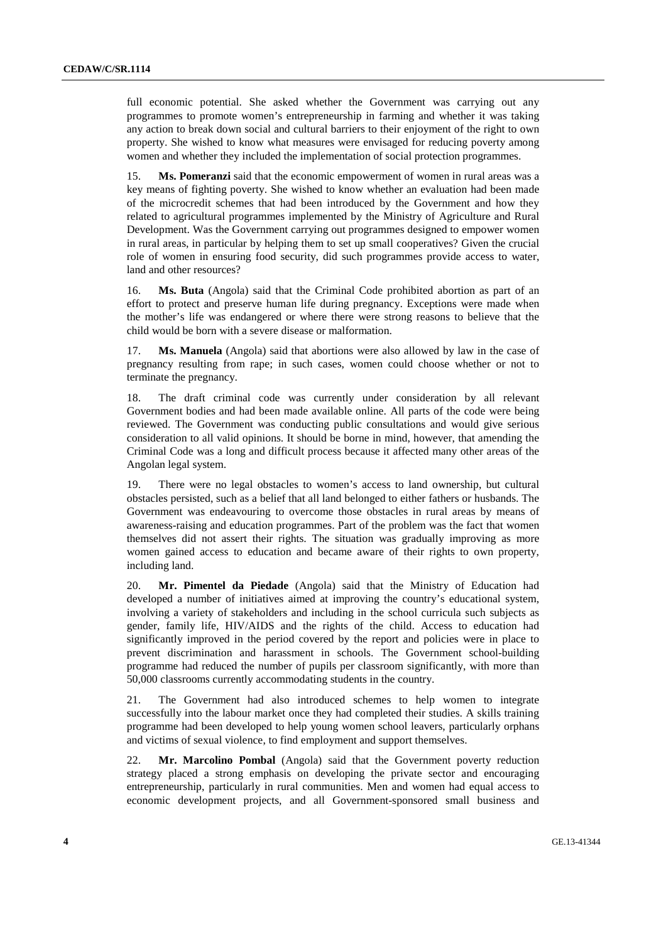full economic potential. She asked whether the Government was carrying out any programmes to promote women's entrepreneurship in farming and whether it was taking any action to break down social and cultural barriers to their enjoyment of the right to own property. She wished to know what measures were envisaged for reducing poverty among women and whether they included the implementation of social protection programmes.

15. **Ms. Pomeranzi** said that the economic empowerment of women in rural areas was a key means of fighting poverty. She wished to know whether an evaluation had been made of the microcredit schemes that had been introduced by the Government and how they related to agricultural programmes implemented by the Ministry of Agriculture and Rural Development. Was the Government carrying out programmes designed to empower women in rural areas, in particular by helping them to set up small cooperatives? Given the crucial role of women in ensuring food security, did such programmes provide access to water, land and other resources?

16. **Ms. Buta** (Angola) said that the Criminal Code prohibited abortion as part of an effort to protect and preserve human life during pregnancy. Exceptions were made when the mother's life was endangered or where there were strong reasons to believe that the child would be born with a severe disease or malformation.

17. **Ms. Manuela** (Angola) said that abortions were also allowed by law in the case of pregnancy resulting from rape; in such cases, women could choose whether or not to terminate the pregnancy.

18. The draft criminal code was currently under consideration by all relevant Government bodies and had been made available online. All parts of the code were being reviewed. The Government was conducting public consultations and would give serious consideration to all valid opinions. It should be borne in mind, however, that amending the Criminal Code was a long and difficult process because it affected many other areas of the Angolan legal system.

19. There were no legal obstacles to women's access to land ownership, but cultural obstacles persisted, such as a belief that all land belonged to either fathers or husbands. The Government was endeavouring to overcome those obstacles in rural areas by means of awareness-raising and education programmes. Part of the problem was the fact that women themselves did not assert their rights. The situation was gradually improving as more women gained access to education and became aware of their rights to own property, including land.

20. **Mr. Pimentel da Piedade** (Angola) said that the Ministry of Education had developed a number of initiatives aimed at improving the country's educational system, involving a variety of stakeholders and including in the school curricula such subjects as gender, family life, HIV/AIDS and the rights of the child. Access to education had significantly improved in the period covered by the report and policies were in place to prevent discrimination and harassment in schools. The Government school-building programme had reduced the number of pupils per classroom significantly, with more than 50,000 classrooms currently accommodating students in the country.

21. The Government had also introduced schemes to help women to integrate successfully into the labour market once they had completed their studies. A skills training programme had been developed to help young women school leavers, particularly orphans and victims of sexual violence, to find employment and support themselves.

22. **Mr. Marcolino Pombal** (Angola) said that the Government poverty reduction strategy placed a strong emphasis on developing the private sector and encouraging entrepreneurship, particularly in rural communities. Men and women had equal access to economic development projects, and all Government-sponsored small business and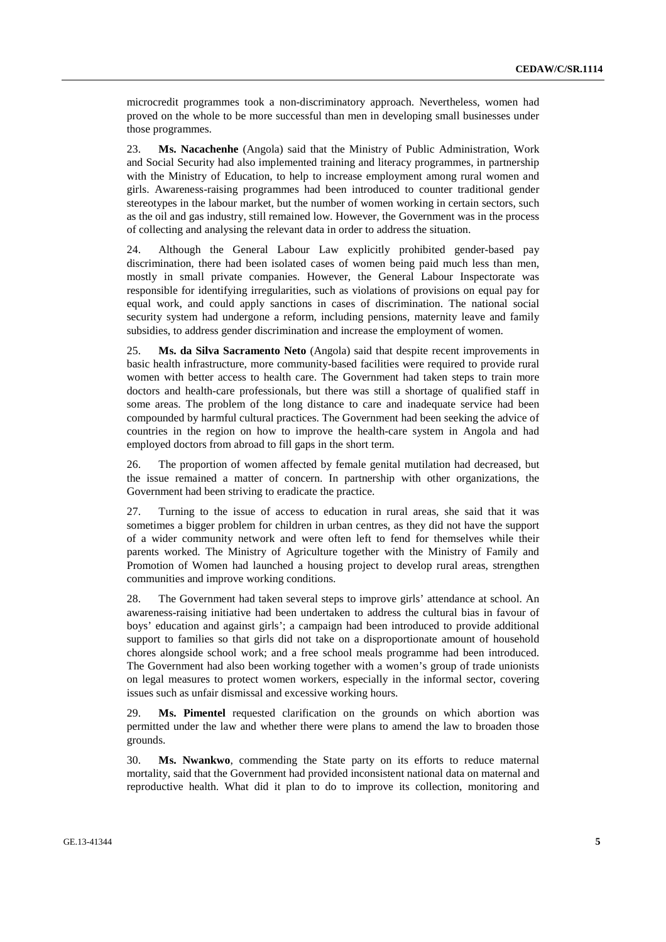microcredit programmes took a non-discriminatory approach. Nevertheless, women had proved on the whole to be more successful than men in developing small businesses under those programmes.

23. **Ms. Nacachenhe** (Angola) said that the Ministry of Public Administration, Work and Social Security had also implemented training and literacy programmes, in partnership with the Ministry of Education, to help to increase employment among rural women and girls. Awareness-raising programmes had been introduced to counter traditional gender stereotypes in the labour market, but the number of women working in certain sectors, such as the oil and gas industry, still remained low. However, the Government was in the process of collecting and analysing the relevant data in order to address the situation.

24. Although the General Labour Law explicitly prohibited gender-based pay discrimination, there had been isolated cases of women being paid much less than men, mostly in small private companies. However, the General Labour Inspectorate was responsible for identifying irregularities, such as violations of provisions on equal pay for equal work, and could apply sanctions in cases of discrimination. The national social security system had undergone a reform, including pensions, maternity leave and family subsidies, to address gender discrimination and increase the employment of women.

25. **Ms. da Silva Sacramento Neto** (Angola) said that despite recent improvements in basic health infrastructure, more community-based facilities were required to provide rural women with better access to health care. The Government had taken steps to train more doctors and health-care professionals, but there was still a shortage of qualified staff in some areas. The problem of the long distance to care and inadequate service had been compounded by harmful cultural practices. The Government had been seeking the advice of countries in the region on how to improve the health-care system in Angola and had employed doctors from abroad to fill gaps in the short term.

26. The proportion of women affected by female genital mutilation had decreased, but the issue remained a matter of concern. In partnership with other organizations, the Government had been striving to eradicate the practice.

27. Turning to the issue of access to education in rural areas, she said that it was sometimes a bigger problem for children in urban centres, as they did not have the support of a wider community network and were often left to fend for themselves while their parents worked. The Ministry of Agriculture together with the Ministry of Family and Promotion of Women had launched a housing project to develop rural areas, strengthen communities and improve working conditions.

28. The Government had taken several steps to improve girls' attendance at school. An awareness-raising initiative had been undertaken to address the cultural bias in favour of boys' education and against girls'; a campaign had been introduced to provide additional support to families so that girls did not take on a disproportionate amount of household chores alongside school work; and a free school meals programme had been introduced. The Government had also been working together with a women's group of trade unionists on legal measures to protect women workers, especially in the informal sector, covering issues such as unfair dismissal and excessive working hours.

29. **Ms. Pimentel** requested clarification on the grounds on which abortion was permitted under the law and whether there were plans to amend the law to broaden those grounds.

30. **Ms. Nwankwo**, commending the State party on its efforts to reduce maternal mortality, said that the Government had provided inconsistent national data on maternal and reproductive health. What did it plan to do to improve its collection, monitoring and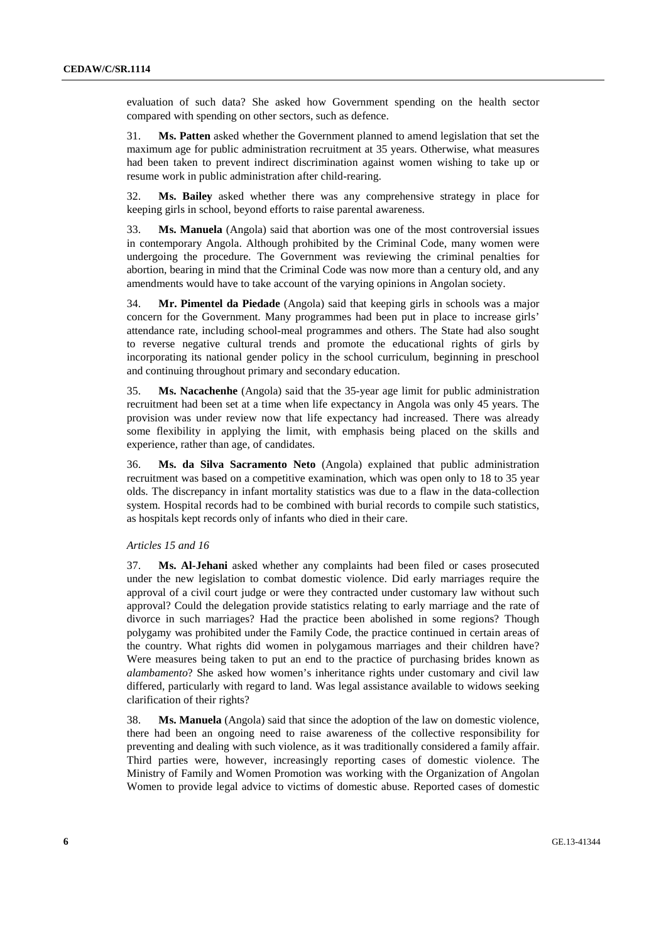evaluation of such data? She asked how Government spending on the health sector compared with spending on other sectors, such as defence.

31. **Ms. Patten** asked whether the Government planned to amend legislation that set the maximum age for public administration recruitment at 35 years. Otherwise, what measures had been taken to prevent indirect discrimination against women wishing to take up or resume work in public administration after child-rearing.

32. **Ms. Bailey** asked whether there was any comprehensive strategy in place for keeping girls in school, beyond efforts to raise parental awareness.

33. **Ms. Manuela** (Angola) said that abortion was one of the most controversial issues in contemporary Angola. Although prohibited by the Criminal Code, many women were undergoing the procedure. The Government was reviewing the criminal penalties for abortion, bearing in mind that the Criminal Code was now more than a century old, and any amendments would have to take account of the varying opinions in Angolan society.

34. **Mr. Pimentel da Piedade** (Angola) said that keeping girls in schools was a major concern for the Government. Many programmes had been put in place to increase girls' attendance rate, including school-meal programmes and others. The State had also sought to reverse negative cultural trends and promote the educational rights of girls by incorporating its national gender policy in the school curriculum, beginning in preschool and continuing throughout primary and secondary education.

35. **Ms. Nacachenhe** (Angola) said that the 35-year age limit for public administration recruitment had been set at a time when life expectancy in Angola was only 45 years. The provision was under review now that life expectancy had increased. There was already some flexibility in applying the limit, with emphasis being placed on the skills and experience, rather than age, of candidates.

36. **Ms. da Silva Sacramento Neto** (Angola) explained that public administration recruitment was based on a competitive examination, which was open only to 18 to 35 year olds. The discrepancy in infant mortality statistics was due to a flaw in the data-collection system. Hospital records had to be combined with burial records to compile such statistics, as hospitals kept records only of infants who died in their care.

### *Articles 15 and 16*

37. **Ms. Al-Jehani** asked whether any complaints had been filed or cases prosecuted under the new legislation to combat domestic violence. Did early marriages require the approval of a civil court judge or were they contracted under customary law without such approval? Could the delegation provide statistics relating to early marriage and the rate of divorce in such marriages? Had the practice been abolished in some regions? Though polygamy was prohibited under the Family Code, the practice continued in certain areas of the country. What rights did women in polygamous marriages and their children have? Were measures being taken to put an end to the practice of purchasing brides known as *alambamento*? She asked how women's inheritance rights under customary and civil law differed, particularly with regard to land. Was legal assistance available to widows seeking clarification of their rights?

38. **Ms. Manuela** (Angola) said that since the adoption of the law on domestic violence, there had been an ongoing need to raise awareness of the collective responsibility for preventing and dealing with such violence, as it was traditionally considered a family affair. Third parties were, however, increasingly reporting cases of domestic violence. The Ministry of Family and Women Promotion was working with the Organization of Angolan Women to provide legal advice to victims of domestic abuse. Reported cases of domestic